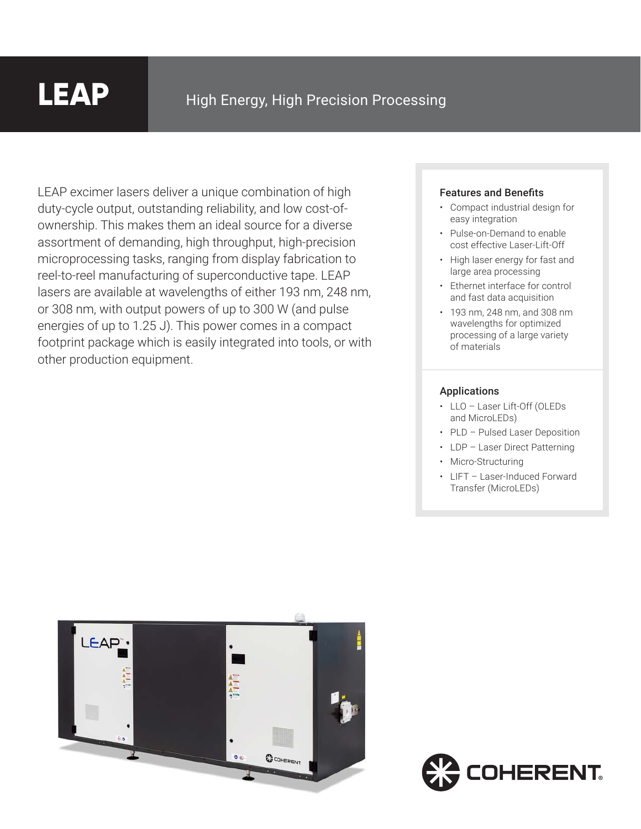## **LEAP**

LEAP excimer lasers deliver a unique combination of high duty-cycle output, outstanding reliability, and low cost-ofownership. This makes them an ideal source for a diverse assortment of demanding, high throughput, high-precision microprocessing tasks, ranging from display fabrication to reel-to-reel manufacturing of superconductive tape. LEAP lasers are available at wavelengths of either 193 nm, 248 nm, or 308 nm, with output powers of up to 300 W (and pulse energies of up to 1.25 J). This power comes in a compact footprint package which is easily integrated into tools, or with other production equipment.

#### Features and Benefits

- Compact industrial design for easy integration
- Pulse-on-Demand to enable cost effective Laser-Lift-Off
- High laser energy for fast and large area processing
- Ethernet interface for control and fast data acquisition
- 193 nm, 248 nm, and 308 nm wavelengths for optimized processing of a large variety of materials

#### Applications

- LLO Laser Lift-Off (OLEDs and MicroLEDs)
- PLD Pulsed Laser Deposition
- LDP Laser Direct Patterning
	- Micro-Structuring
	- LIFT Laser-Induced Forward Transfer (MicroLEDs)



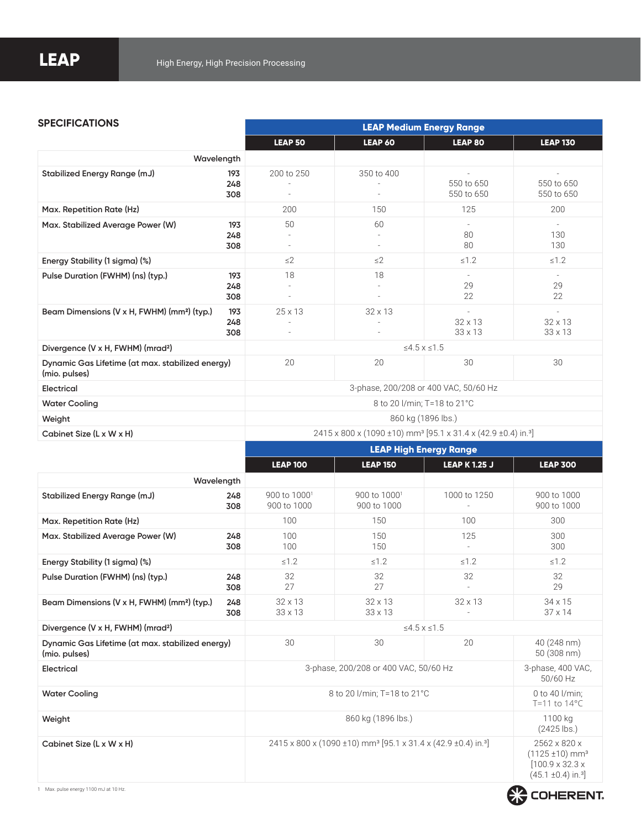#### **SPECIFICATIONS**

|                                                                   |                   | LEAP Medium Energy Range                                                                                               |            |                                  |                                  |  |  |
|-------------------------------------------------------------------|-------------------|------------------------------------------------------------------------------------------------------------------------|------------|----------------------------------|----------------------------------|--|--|
|                                                                   |                   | LEAP <sub>50</sub>                                                                                                     | LEAP 60    | <b>LEAP 80</b>                   | <b>LEAP 130</b>                  |  |  |
| Wavelength                                                        |                   |                                                                                                                        |            |                                  |                                  |  |  |
| Stabilized Energy Range (mJ)                                      | 193<br>248<br>308 | 200 to 250                                                                                                             | 350 to 400 | 550 to 650<br>550 to 650         | 550 to 650<br>550 to 650         |  |  |
| Max. Repetition Rate (Hz)                                         |                   | 200                                                                                                                    | 150        | 125                              | 200                              |  |  |
| Max. Stabilized Average Power (W)                                 | 193<br>248<br>308 | 50<br>٠                                                                                                                | 60<br>٠    | $\sim$<br>80<br>80               | $\sim$<br>130<br>130             |  |  |
| Energy Stability (1 sigma) (%)                                    |                   | $\leq$ 2                                                                                                               | $\leq$ 2   | $\leq 1.2$                       | $\leq 1.2$                       |  |  |
| Pulse Duration (FWHM) (ns) (typ.)                                 | 193<br>248<br>308 | 18<br>٠                                                                                                                | 18         | 29<br>22                         | 29<br>22                         |  |  |
| Beam Dimensions (V x H, FWHM) (mm <sup>2</sup> ) (typ.)           | 193<br>248<br>308 | 25 x 13                                                                                                                | 32 x 13    | $32 \times 13$<br>$33 \times 13$ | $32 \times 13$<br>$33 \times 13$ |  |  |
| Divergence (V x H, FWHM) (mrad <sup>2</sup> )                     |                   | $≤4.5$ x ≤1.5                                                                                                          |            |                                  |                                  |  |  |
| Dynamic Gas Lifetime (at max. stabilized energy)<br>(mio. pulses) |                   | 20                                                                                                                     | 20         | 30                               | 30                               |  |  |
| Electrical                                                        |                   | 3-phase, 200/208 or 400 VAC, 50/60 Hz                                                                                  |            |                                  |                                  |  |  |
| <b>Water Cooling</b>                                              |                   | 8 to 20 l/min; T=18 to 21°C                                                                                            |            |                                  |                                  |  |  |
| Weight                                                            |                   | 860 kg (1896 lbs.)                                                                                                     |            |                                  |                                  |  |  |
| Cabinet Size (L x W x H)                                          |                   | 2415 x 800 x (1090 ±10) mm <sup>3</sup> [95.1 x 31.4 x (42.9 ±0.4) in. <sup>3</sup> ]<br><b>LEAP High Energy Range</b> |            |                                  |                                  |  |  |
|                                                                   |                   |                                                                                                                        |            |                                  |                                  |  |  |

|                                                                   |            | <b>LEAP 100</b>                                                                       | <b>LEAP 150</b>                         | <b>LEAP K 1.25 J</b> | <b>LEAP 300</b>                                                                                                     |  |
|-------------------------------------------------------------------|------------|---------------------------------------------------------------------------------------|-----------------------------------------|----------------------|---------------------------------------------------------------------------------------------------------------------|--|
| Wavelength                                                        |            |                                                                                       |                                         |                      |                                                                                                                     |  |
| Stabilized Energy Range (mJ)                                      | 248<br>308 | 900 to $10001$<br>900 to 1000                                                         | 900 to 1000 <sup>1</sup><br>900 to 1000 | 1000 to 1250         | 900 to 1000<br>900 to 1000                                                                                          |  |
| Max. Repetition Rate (Hz)                                         |            | 100                                                                                   | 150                                     | 100                  | 300                                                                                                                 |  |
| Max. Stabilized Average Power (W)                                 | 248<br>308 | 100<br>100                                                                            | 150<br>150                              | 125                  | 300<br>300                                                                                                          |  |
| Energy Stability (1 sigma) (%)                                    |            | $\leq 1.2$                                                                            | $\leq 1.2$                              | $\leq 1.2$           | $\leq 1.2$                                                                                                          |  |
| Pulse Duration (FWHM) (ns) (typ.)                                 | 248<br>308 | 32<br>27                                                                              | 32<br>27                                | 32                   | 32<br>29                                                                                                            |  |
| Beam Dimensions (V x H, FWHM) (mm <sup>2</sup> ) (typ.)           | 248<br>308 | $32 \times 13$<br>$33 \times 13$                                                      | $32 \times 13$<br>33 x 13               | $32 \times 13$       | $34 \times 15$<br>$37 \times 14$                                                                                    |  |
| Divergence (V x H, FWHM) (mrad <sup>2</sup> )                     |            | $\leq 4.5 \times 1.5$                                                                 |                                         |                      |                                                                                                                     |  |
| Dynamic Gas Lifetime (at max. stabilized energy)<br>(mio. pulses) |            | 30                                                                                    | 30                                      | 20                   | 40 (248 nm)<br>50 (308 nm)                                                                                          |  |
| Electrical                                                        |            | 3-phase, 200/208 or 400 VAC, 50/60 Hz                                                 |                                         |                      | 3-phase, 400 VAC,<br>50/60 Hz                                                                                       |  |
| <b>Water Cooling</b>                                              |            | 8 to 20 I/min; T=18 to 21°C                                                           |                                         |                      | 0 to 40 l/min;<br>T=11 to $14^{\circ}$ C                                                                            |  |
| Weight                                                            |            | 860 kg (1896 lbs.)                                                                    |                                         |                      | 1100 kg<br>$(2425$ lbs.)                                                                                            |  |
| Cabinet Size (L x W x H)                                          |            | 2415 x 800 x (1090 ±10) mm <sup>3</sup> [95.1 x 31.4 x (42.9 ±0.4) in. <sup>3</sup> ] |                                         |                      | 2562 x 820 x<br>$(1125 \pm 10)$ mm <sup>3</sup><br>$[100.9 \times 32.3 \times$<br>$(45.1 \pm 0.4)$ in. <sup>3</sup> |  |

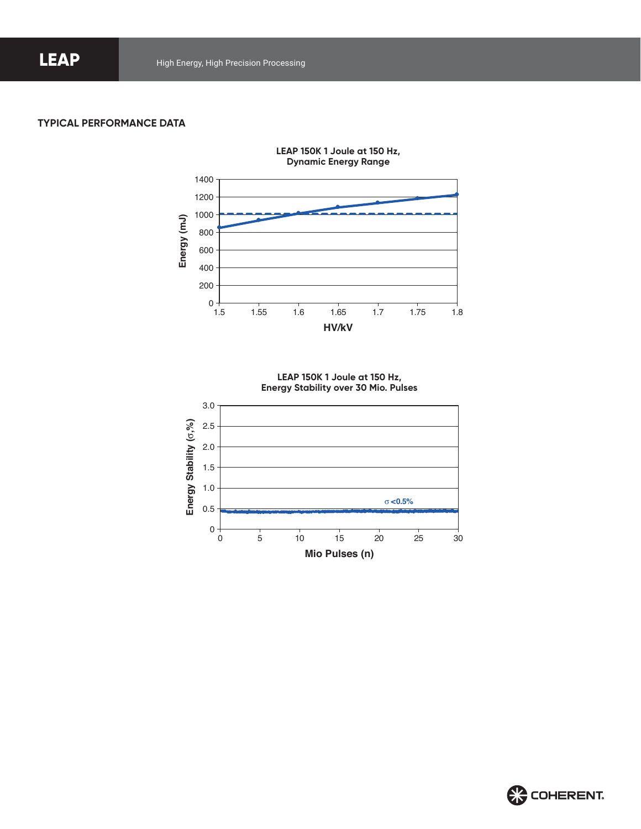#### **TYPICAL PERFORMANCE DATA**



**LEAP 150K 1 Joule at 150 Hz, Energy Stability over 30 Mio. Pulses**



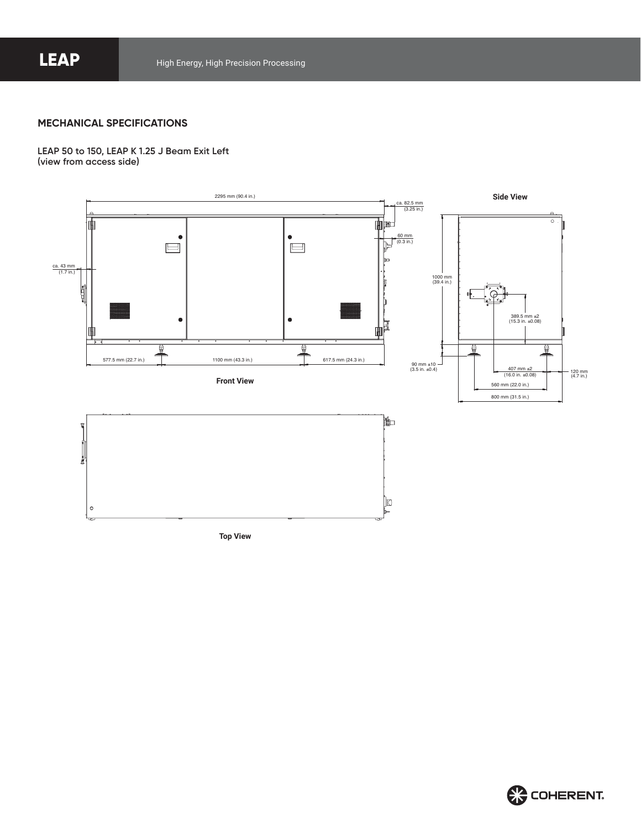#### **MECHANICAL SPECIFICATIONS**

**LEAP 50 to 150, LEAP K 1.25 J Beam Exit Left (view from access side)**



**Top View**